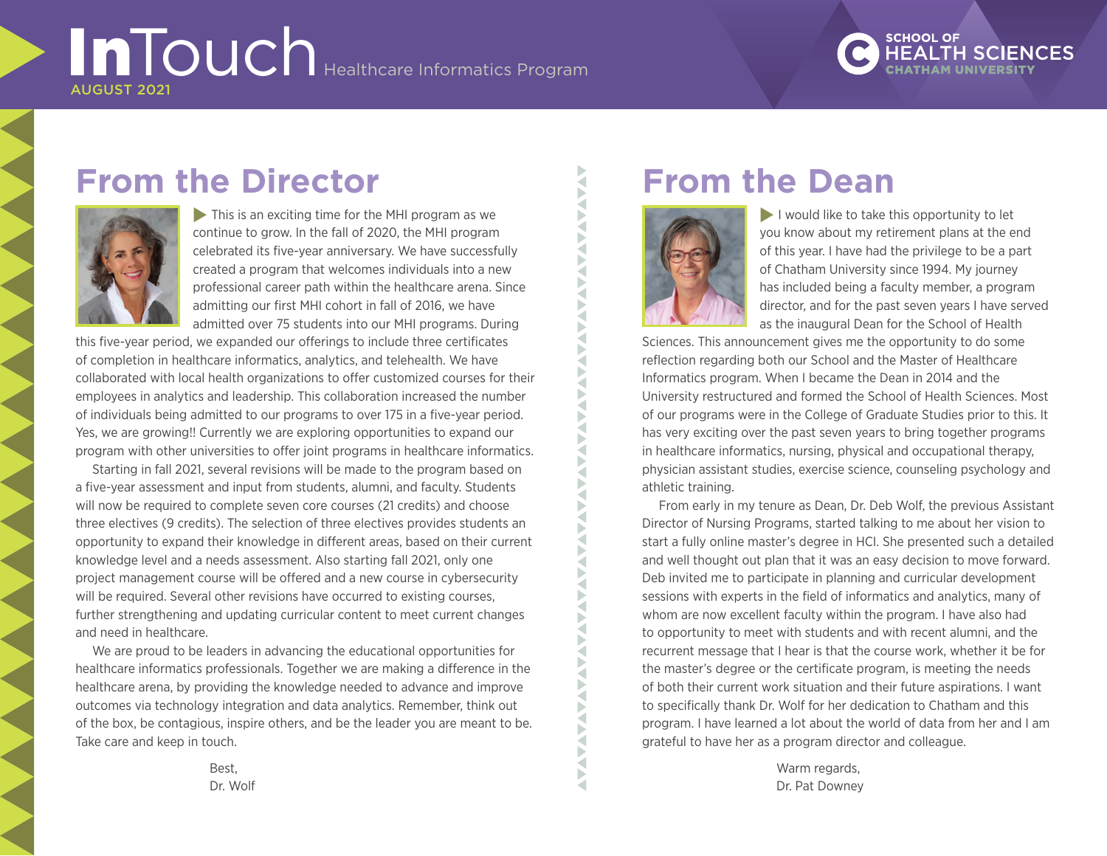# **InTouch** Healthcare Informatics Program AUGUST 2021

# **SCHOOL OF**

# **From the Director**



 $\blacktriangleright$  This is an exciting time for the MHI program as we continue to grow. In the fall of 2020, the MHI program celebrated its five-year anniversary. We have successfully created a program that welcomes individuals into a new professional career path within the healthcare arena. Since admitting our first MHI cohort in fall of 2016, we have admitted over 75 students into our MHI programs. During

this five-year period, we expanded our offerings to include three certificates of completion in healthcare informatics, analytics, and telehealth. We have collaborated with local health organizations to offer customized courses for their employees in analytics and leadership. This collaboration increased the number of individuals being admitted to our programs to over 175 in a five-year period. Yes, we are growing!! Currently we are exploring opportunities to expand our program with other universities to offer joint programs in healthcare informatics.

Starting in fall 2021, several revisions will be made to the program based on a five-year assessment and input from students, alumni, and faculty. Students will now be required to complete seven core courses (21 credits) and choose three electives (9 credits). The selection of three electives provides students an opportunity to expand their knowledge in different areas, based on their current knowledge level and a needs assessment. Also starting fall 2021, only one project management course will be offered and a new course in cybersecurity will be required. Several other revisions have occurred to existing courses, further strengthening and updating curricular content to meet current changes and need in healthcare.

We are proud to be leaders in advancing the educational opportunities for healthcare informatics professionals. Together we are making a difference in the healthcare arena, by providing the knowledge needed to advance and improve outcomes via technology integration and data analytics. Remember, think out of the box, be contagious, inspire others, and be the leader you are meant to be. Take care and keep in touch.

## **From the Dean**



 $\blacktriangleright$  I would like to take this opportunity to let you know about my retirement plans at the end of this year. I have had the privilege to be a part of Chatham University since 1994. My journey has included being a faculty member, a program director, and for the past seven years I have served as the inaugural Dean for the School of Health

Sciences. This announcement gives me the opportunity to do some reflection regarding both our School and the Master of Healthcare Informatics program. When I became the Dean in 2014 and the University restructured and formed the School of Health Sciences. Most of our programs were in the College of Graduate Studies prior to this. It has very exciting over the past seven years to bring together programs in healthcare informatics, nursing, physical and occupational therapy, physician assistant studies, exercise science, counseling psychology and athletic training.

From early in my tenure as Dean, Dr. Deb Wolf, the previous Assistant Director of Nursing Programs, started talking to me about her vision to start a fully online master's degree in HCI. She presented such a detailed and well thought out plan that it was an easy decision to move forward. Deb invited me to participate in planning and curricular development sessions with experts in the field of informatics and analytics, many of whom are now excellent faculty within the program. I have also had to opportunity to meet with students and with recent alumni, and the recurrent message that I hear is that the course work, whether it be for the master's degree or the certificate program, is meeting the needs of both their current work situation and their future aspirations. I want to specifically thank Dr. Wolf for her dedication to Chatham and this program. I have learned a lot about the world of data from her and I am grateful to have her as a program director and colleague.

> Warm regards. Dr. Pat Downey

Best, Dr. Wolf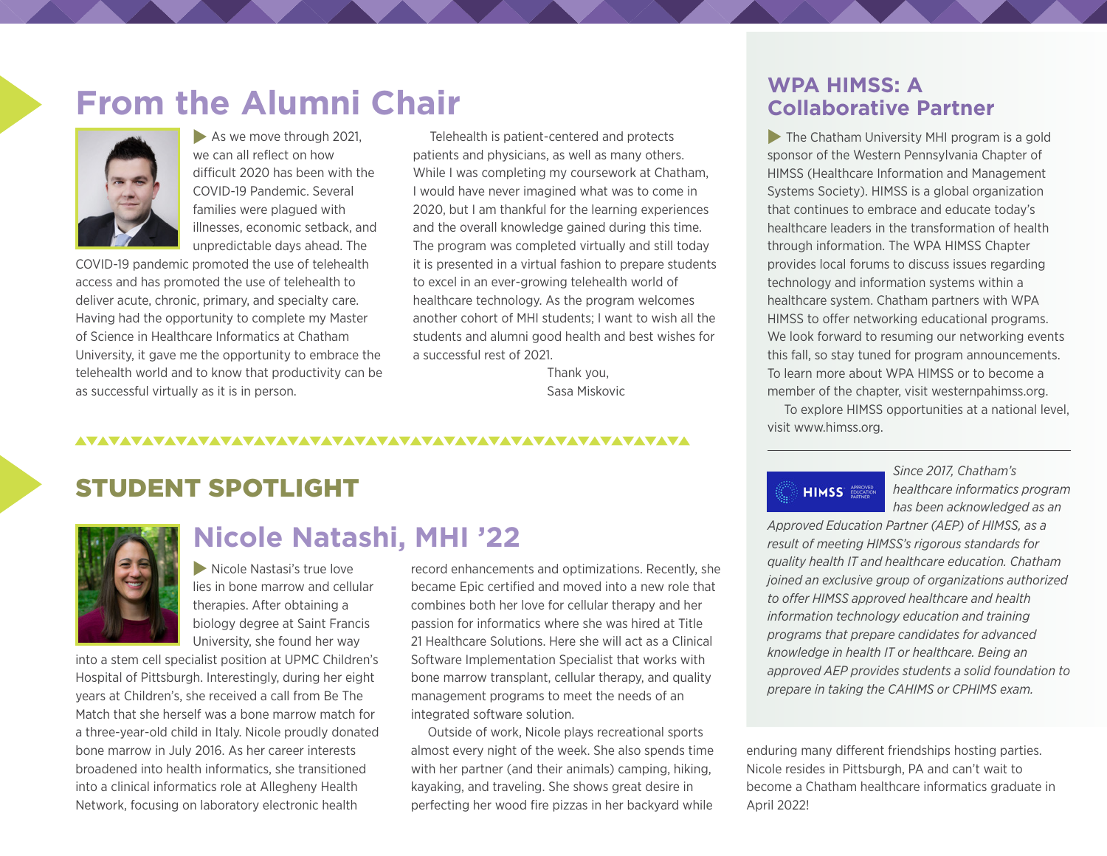# **From the Alumni Chair**



 $\blacktriangleright$  As we move through 2021, we can all reflect on how difficult 2020 has been with the COVID-19 Pandemic. Several families were plagued with illnesses, economic setback, and unpredictable days ahead. The

COVID-19 pandemic promoted the use of telehealth access and has promoted the use of telehealth to deliver acute, chronic, primary, and specialty care. Having had the opportunity to complete my Master of Science in Healthcare Informatics at Chatham University, it gave me the opportunity to embrace the telehealth world and to know that productivity can be as successful virtually as it is in person.

Telehealth is patient-centered and protects patients and physicians, as well as many others. While I was completing my coursework at Chatham, I would have never imagined what was to come in 2020, but I am thankful for the learning experiences and the overall knowledge gained during this time. The program was completed virtually and still today it is presented in a virtual fashion to prepare students to excel in an ever-growing telehealth world of healthcare technology. As the program welcomes another cohort of MHI students; I want to wish all the students and alumni good health and best wishes for a successful rest of 2021.

> Thank you, Sasa Miskovic

#### 

## STUDENT SPOTLIGHT



## **Nicole Natashi, MHI '22**

 $\blacktriangleright$  Nicole Nastasi's true love lies in bone marrow and cellular therapies. After obtaining a biology degree at Saint Francis University, she found her way

into a stem cell specialist position at UPMC Children's Hospital of Pittsburgh. Interestingly, during her eight years at Children's, she received a call from Be The Match that she herself was a bone marrow match for a three-year-old child in Italy. Nicole proudly donated bone marrow in July 2016. As her career interests broadened into health informatics, she transitioned into a clinical informatics role at Allegheny Health Network, focusing on laboratory electronic health

record enhancements and optimizations. Recently, she became Epic certified and moved into a new role that combines both her love for cellular therapy and her passion for informatics where she was hired at Title 21 Healthcare Solutions. Here she will act as a Clinical Software Implementation Specialist that works with bone marrow transplant, cellular therapy, and quality management programs to meet the needs of an integrated software solution.

Outside of work, Nicole plays recreational sports almost every night of the week. She also spends time with her partner (and their animals) camping, hiking, kayaking, and traveling. She shows great desire in perfecting her wood fire pizzas in her backyard while

### **WPA HIMSS: A Collaborative Partner**

 $\blacktriangleright$  The Chatham University MHI program is a gold sponsor of the Western Pennsylvania Chapter of HIMSS (Healthcare Information and Management Systems Society). HIMSS is a global organization that continues to embrace and educate today's healthcare leaders in the transformation of health through information. The WPA HIMSS Chapter provides local forums to discuss issues regarding technology and information systems within a healthcare system. Chatham partners with WPA HIMSS to offer networking educational programs. We look forward to resuming our networking events this fall, so stay tuned for program announcements. To learn more about WPA HIMSS or to become a member of the chapter, visit [westernpahimss.org.](https://www.westernpahimss.org/about/)

To explore HIMSS opportunities at a national level, visit [www.himss.org.](https://www.himss.org/)

# **HIMSS EXAMPLE**

*Since 2017, Chatham's healthcare informatics program has been acknowledged as an* 

*Approved Education Partner (AEP) of HIMSS, as a result of meeting HIMSS's rigorous standards for quality health IT and healthcare education. Chatham joined an exclusive group of organizations authorized to offer HIMSS approved healthcare and health information technology education and training programs that prepare candidates for advanced knowledge in health IT or healthcare. Being an approved AEP provides students a solid foundation to prepare in taking the [CAHIMS](http://www.himss.org/health-it-certification/cahims) or [CPHIMS](http://www.himss.org/health-it-certification/cphims) exam.*

enduring many different friendships hosting parties. Nicole resides in Pittsburgh, PA and can't wait to become a Chatham healthcare informatics graduate in April 2022!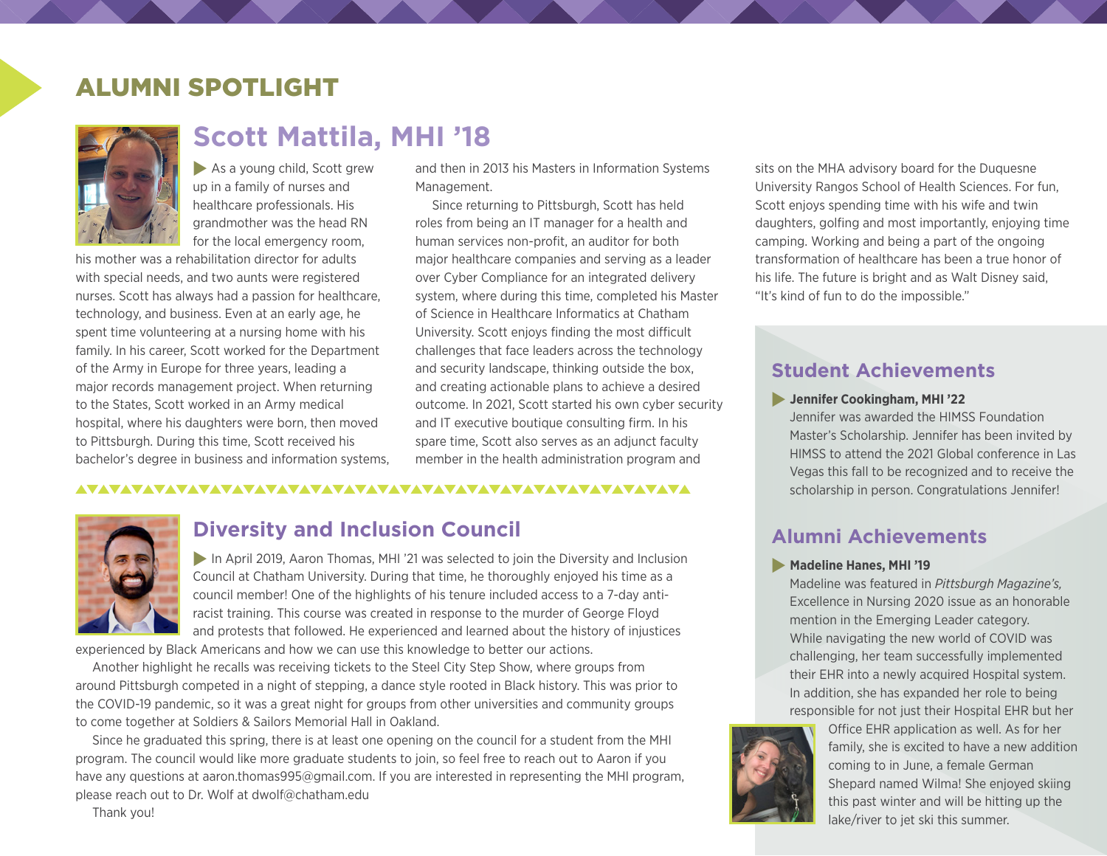## ALUMNI SPOTLIGHT



## **Scott Mattila, MHI '18**

 $\blacktriangleright$  As a young child, Scott grew up in a family of nurses and healthcare professionals. His grandmother was the head RN for the local emergency room,

his mother was a rehabilitation director for adults with special needs, and two aunts were registered nurses. Scott has always had a passion for healthcare, technology, and business. Even at an early age, he spent time volunteering at a nursing home with his family. In his career, Scott worked for the Department of the Army in Europe for three years, leading a major records management project. When returning to the States, Scott worked in an Army medical hospital, where his daughters were born, then moved to Pittsburgh. During this time, Scott received his bachelor's degree in business and information systems, and then in 2013 his Masters in Information Systems Management.

Since returning to Pittsburgh, Scott has held roles from being an IT manager for a health and human services non-profit, an auditor for both major healthcare companies and serving as a leader over Cyber Compliance for an integrated delivery system, where during this time, completed his Master of Science in Healthcare Informatics at Chatham University. Scott enjoys finding the most difficult challenges that face leaders across the technology and security landscape, thinking outside the box, and creating actionable plans to achieve a desired outcome. In 2021, Scott started his own cyber security and IT executive boutique consulting firm. In his spare time, Scott also serves as an adjunct faculty member in the health administration program and

#### 



### **Diversity and Inclusion Council**

In April 2019, Aaron Thomas, MHI '21 was selected to join the Diversity and Inclusion Council at Chatham University. During that time, he thoroughly enjoyed his time as a council member! One of the highlights of his tenure included access to a 7-day antiracist training. This course was created in response to the murder of George Floyd and protests that followed. He experienced and learned about the history of injustices

experienced by Black Americans and how we can use this knowledge to better our actions.

Another highlight he recalls was receiving tickets to the Steel City Step Show, where groups from around Pittsburgh competed in a night of stepping, a dance style rooted in Black history. This was prior to the COVID-19 pandemic, so it was a great night for groups from other universities and community groups to come together at Soldiers & Sailors Memorial Hall in Oakland.

Since he graduated this spring, there is at least one opening on the council for a student from the MHI program. The council would like more graduate students to join, so feel free to reach out to Aaron if you have any questions at [aaron.thomas995@gmail.com](mailto:aaron.thomas995@gmail.com). If you are interested in representing the MHI program, please reach out to Dr. Wolf at [dwolf@chatham.edu](mailto:dwolf@chatham.edu)

sits on the MHA advisory board for the Duquesne University Rangos School of Health Sciences. For fun, Scott enjoys spending time with his wife and twin daughters, golfing and most importantly, enjoying time camping. Working and being a part of the ongoing transformation of healthcare has been a true honor of his life. The future is bright and as Walt Disney said, "It's kind of fun to do the impossible."

### **Student Achievements**

#### **Jennifer Cookingham, MHI '22**

Jennifer was awarded the HIMSS Foundation Master's Scholarship. Jennifer has been invited by HIMSS to attend the 2021 Global conference in Las Vegas this fall to be recognized and to receive the scholarship in person. Congratulations Jennifer!

### **Alumni Achievements**

#### **Madeline Hanes, MHI '19**

Madeline was featured in *Pittsburgh Magazine's,* Excellence in Nursing 2020 issue as an honorable mention in the Emerging Leader category. While navigating the new world of COVID was challenging, her team successfully implemented their EHR into a newly acquired Hospital system. In addition, she has expanded her role to being responsible for not just their Hospital EHR but her



Office EHR application as well. As for her family, she is excited to have a new addition coming to in June, a female German Shepard named Wilma! She enjoyed skiing this past winter and will be hitting up the lake/river to jet ski this summer.

Thank you!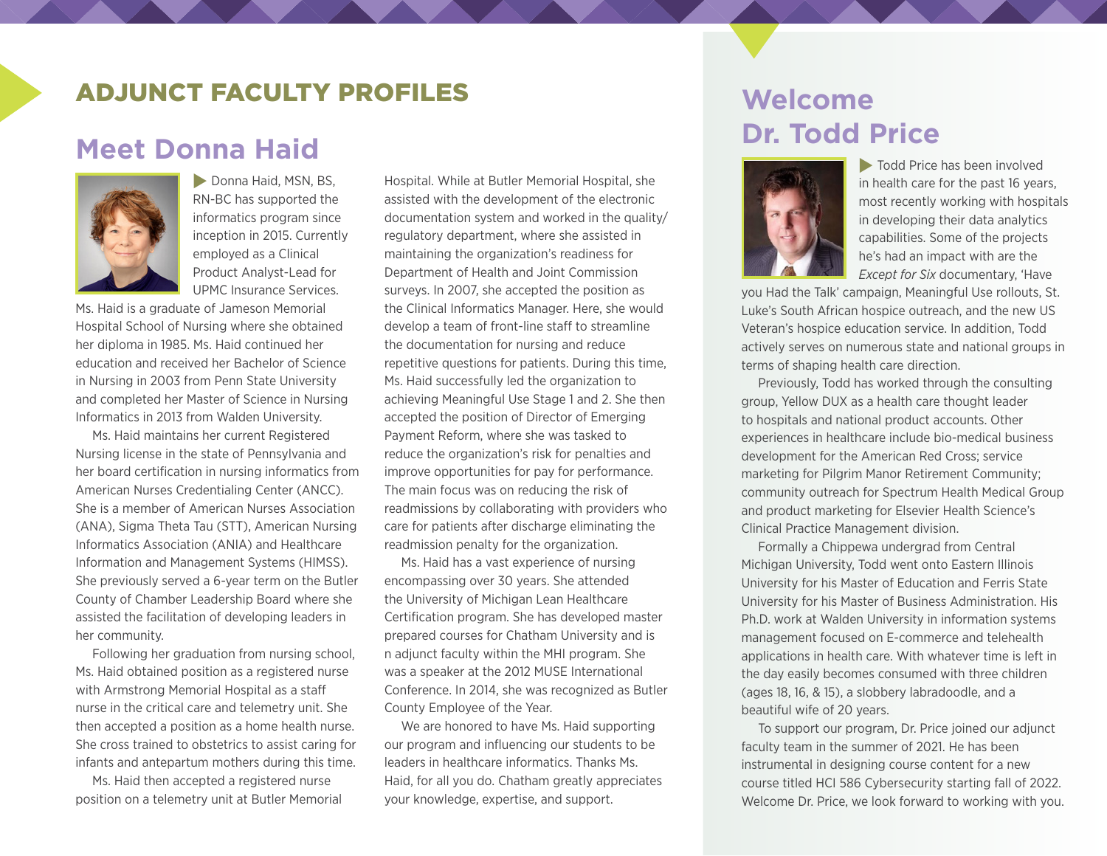## ADJUNCT FACULTY PROFILES

## **Meet Donna Haid**



**Donna Haid, MSN, BS,** RN-BC has supported the informatics program since inception in 2015. Currently employed as a Clinical Product Analyst-Lead for UPMC Insurance Services.

Ms. Haid is a graduate of Jameson Memorial Hospital School of Nursing where she obtained her diploma in 1985. Ms. Haid continued her education and received her Bachelor of Science in Nursing in 2003 from Penn State University and completed her Master of Science in Nursing Informatics in 2013 from Walden University.

Ms. Haid maintains her current Registered Nursing license in the state of Pennsylvania and her board certification in nursing informatics from American Nurses Credentialing Center (ANCC). She is a member of American Nurses Association (ANA), Sigma Theta Tau (STT), American Nursing Informatics Association (ANIA) and Healthcare Information and Management Systems (HIMSS). She previously served a 6-year term on the Butler County of Chamber Leadership Board where she assisted the facilitation of developing leaders in her community.

Following her graduation from nursing school, Ms. Haid obtained position as a registered nurse with Armstrong Memorial Hospital as a staff nurse in the critical care and telemetry unit. She then accepted a position as a home health nurse. She cross trained to obstetrics to assist caring for infants and antepartum mothers during this time.

Ms. Haid then accepted a registered nurse position on a telemetry unit at Butler Memorial Hospital. While at Butler Memorial Hospital, she assisted with the development of the electronic documentation system and worked in the quality/ regulatory department, where she assisted in maintaining the organization's readiness for Department of Health and Joint Commission surveys. In 2007, she accepted the position as the Clinical Informatics Manager. Here, she would develop a team of front-line staff to streamline the documentation for nursing and reduce repetitive questions for patients. During this time, Ms. Haid successfully led the organization to achieving Meaningful Use Stage 1 and 2. She then accepted the position of Director of Emerging Payment Reform, where she was tasked to reduce the organization's risk for penalties and improve opportunities for pay for performance. The main focus was on reducing the risk of readmissions by collaborating with providers who care for patients after discharge eliminating the readmission penalty for the organization.

Ms. Haid has a vast experience of nursing encompassing over 30 years. She attended the University of Michigan Lean Healthcare Certification program. She has developed master prepared courses for Chatham University and is n adjunct faculty within the MHI program. She was a speaker at the 2012 MUSE International Conference. In 2014, she was recognized as Butler County Employee of the Year.

We are honored to have Ms. Haid supporting our program and influencing our students to be leaders in healthcare informatics. Thanks Ms. Haid, for all you do. Chatham greatly appreciates your knowledge, expertise, and support.

## **Welcome Dr. Todd Price**



 $\blacktriangleright$  Todd Price has been involved in health care for the past 16 years, most recently working with hospitals in developing their data analytics capabilities. Some of the projects he's had an impact with are the *Except for Six* documentary, 'Have

you Had the Talk' campaign, Meaningful Use rollouts, St. Luke's South African hospice outreach, and the new US Veteran's hospice education service. In addition, Todd actively serves on numerous state and national groups in terms of shaping health care direction.

Previously, Todd has worked through the consulting group, Yellow DUX as a health care thought leader to hospitals and national product accounts. Other experiences in healthcare include bio-medical business development for the American Red Cross; service marketing for Pilgrim Manor Retirement Community; community outreach for Spectrum Health Medical Group and product marketing for Elsevier Health Science's Clinical Practice Management division.

Formally a Chippewa undergrad from Central Michigan University, Todd went onto Eastern Illinois University for his Master of Education and Ferris State University for his Master of Business Administration. His Ph.D. work at Walden University in information systems management focused on E-commerce and telehealth applications in health care. With whatever time is left in the day easily becomes consumed with three children (ages 18, 16, & 15), a slobbery labradoodle, and a beautiful wife of 20 years.

To support our program, Dr. Price joined our adjunct faculty team in the summer of 2021. He has been instrumental in designing course content for a new course titled HCI 586 Cybersecurity starting fall of 2022. Welcome Dr. Price, we look forward to working with you.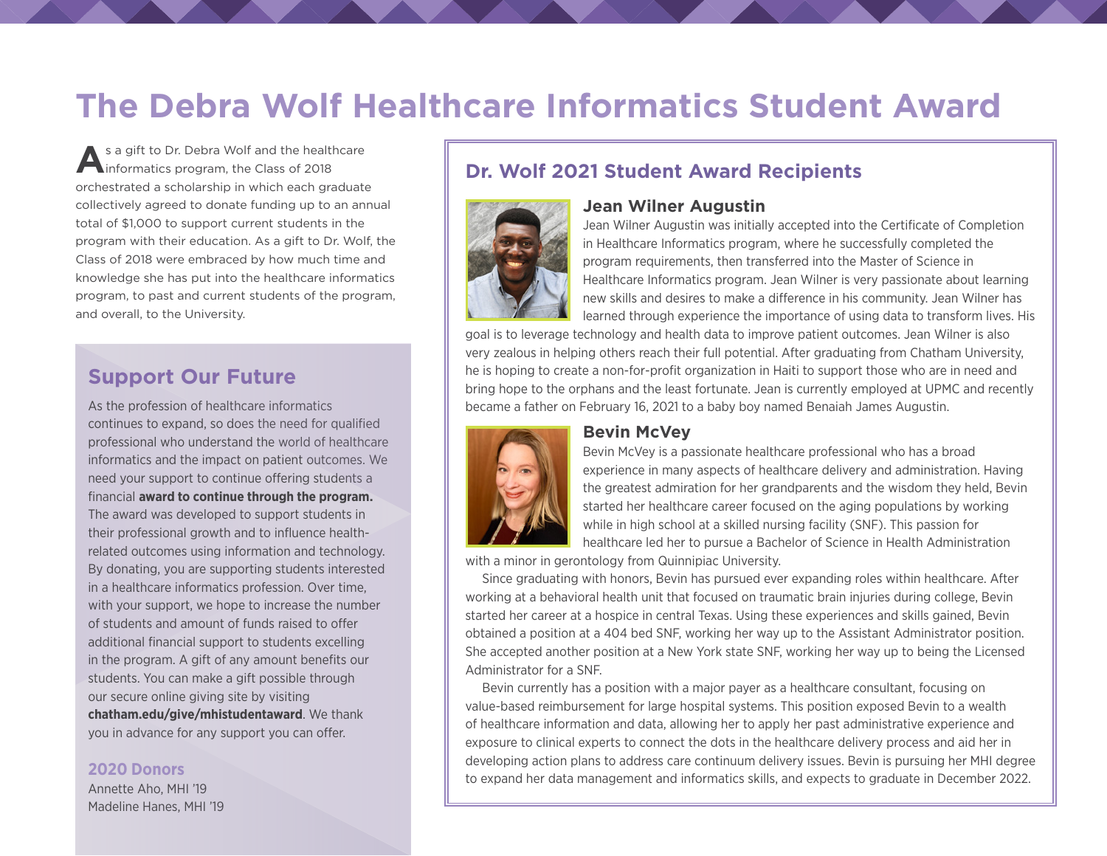# **The Debra Wolf Healthcare Informatics Student Award**

**A**s a gift to Dr. Debra Wolf and the healthcare informatics program, the Class of 2018 orchestrated a scholarship in which each graduate collectively agreed to donate funding up to an annual total of \$1,000 to support current students in the program with their education. As a gift to Dr. Wolf, the Class of 2018 were embraced by how much time and knowledge she has put into the healthcare informatics program, to past and current students of the program, and overall, to the University.

### **Support Our Future**

As the profession of healthcare informatics continues to expand, so does the need for qualified professional who understand the world of healthcare informatics and the impact on patient outcomes. We need your support to continue offering students a financial **award to continue through the program.**  The award was developed to support students in their professional growth and to influence healthrelated outcomes using information and technology. By donating, you are supporting students interested in a healthcare informatics profession. Over time, with your support, we hope to increase the number of students and amount of funds raised to offer additional financial support to students excelling in the program. A gift of any amount benefits our students. You can make a gift possible through our secure online giving site by visiting **[chatham.edu/give/mhistudentaward](http://chatham.edu/give/mhistudentaward)**. We thank you in advance for any support you can offer.

#### **2020 Donors**

Annette Aho, MHI '19 Madeline Hanes, MHI '19

### **Dr. Wolf 2021 Student Award Recipients**



#### **Jean Wilner Augustin**

Jean Wilner Augustin was initially accepted into the Certificate of Completion in Healthcare Informatics program, where he successfully completed the program requirements, then transferred into the Master of Science in Healthcare Informatics program. Jean Wilner is very passionate about learning new skills and desires to make a difference in his community. Jean Wilner has learned through experience the importance of using data to transform lives. His

goal is to leverage technology and health data to improve patient outcomes. Jean Wilner is also very zealous in helping others reach their full potential. After graduating from Chatham University, he is hoping to create a non-for-profit organization in Haiti to support those who are in need and bring hope to the orphans and the least fortunate. Jean is currently employed at UPMC and recently became a father on February 16, 2021 to a baby boy named Benaiah James Augustin.



#### **Bevin McVey**

Bevin McVey is a passionate healthcare professional who has a broad experience in many aspects of healthcare delivery and administration. Having the greatest admiration for her grandparents and the wisdom they held, Bevin started her healthcare career focused on the aging populations by working while in high school at a skilled nursing facility (SNF). This passion for healthcare led her to pursue a Bachelor of Science in Health Administration

with a minor in gerontology from Quinnipiac University.

Since graduating with honors, Bevin has pursued ever expanding roles within healthcare. After working at a behavioral health unit that focused on traumatic brain injuries during college, Bevin started her career at a hospice in central Texas. Using these experiences and skills gained, Bevin obtained a position at a 404 bed SNF, working her way up to the Assistant Administrator position. She accepted another position at a New York state SNF, working her way up to being the Licensed Administrator for a SNF.

Bevin currently has a position with a major payer as a healthcare consultant, focusing on value-based reimbursement for large hospital systems. This position exposed Bevin to a wealth of healthcare information and data, allowing her to apply her past administrative experience and exposure to clinical experts to connect the dots in the healthcare delivery process and aid her in developing action plans to address care continuum delivery issues. Bevin is pursuing her MHI degree to expand her data management and informatics skills, and expects to graduate in December 2022.